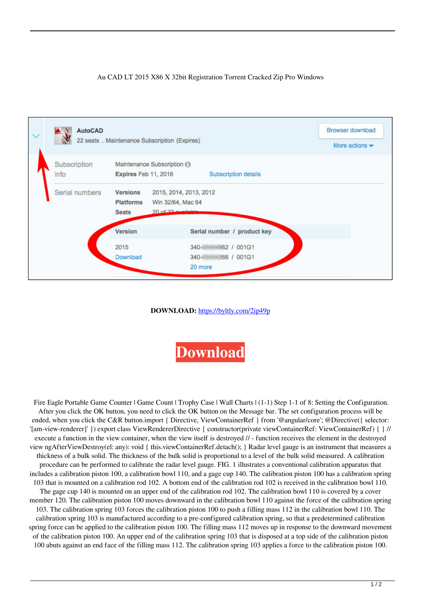## Au CAD LT 2015 X86 X 32bit Registration Torrent Cracked Zip Pro Windows



## **DOWNLOAD:** <https://byltly.com/2ip49p>



Fire Eagle Portable Game Counter | Game Count | Trophy Case | Wall Charts | (1-1) Step 1-1 of 8: Setting the Configuration. After you click the OK button, you need to click the OK button on the Message bar. The set configuration process will be ended, when you click the C&R button.import { Directive, ViewContainerRef } from '@angular/core'; @Directive({ selector: '[am-view-renderer]' }) export class ViewRendererDirective { constructor(private viewContainerRef: ViewContainerRef) { } // execute a function in the view container, when the view itself is destroyed // - function receives the element in the destroyed view ngAfterViewDestroy(el: any): void { this.viewContainerRef.detach(); } Radar level gauge is an instrument that measures a thickness of a bulk solid. The thickness of the bulk solid is proportional to a level of the bulk solid measured. A calibration procedure can be performed to calibrate the radar level gauge. FIG. 1 illustrates a conventional calibration apparatus that includes a calibration piston 100, a calibration bowl 110, and a gage cup 140. The calibration piston 100 has a calibration spring 103 that is mounted on a calibration rod 102. A bottom end of the calibration rod 102 is received in the calibration bowl 110. The gage cup 140 is mounted on an upper end of the calibration rod 102. The calibration bowl 110 is covered by a cover member 120. The calibration piston 100 moves downward in the calibration bowl 110 against the force of the calibration spring 103. The calibration spring 103 forces the calibration piston 100 to push a filling mass 112 in the calibration bowl 110. The calibration spring 103 is manufactured according to a pre-configured calibration spring, so that a predetermined calibration spring force can be applied to the calibration piston 100. The filling mass 112 moves up in response to the downward movement of the calibration piston 100. An upper end of the calibration spring 103 that is disposed at a top side of the calibration piston 100 abuts against an end face of the filling mass 112. The calibration spring 103 applies a force to the calibration piston 100.